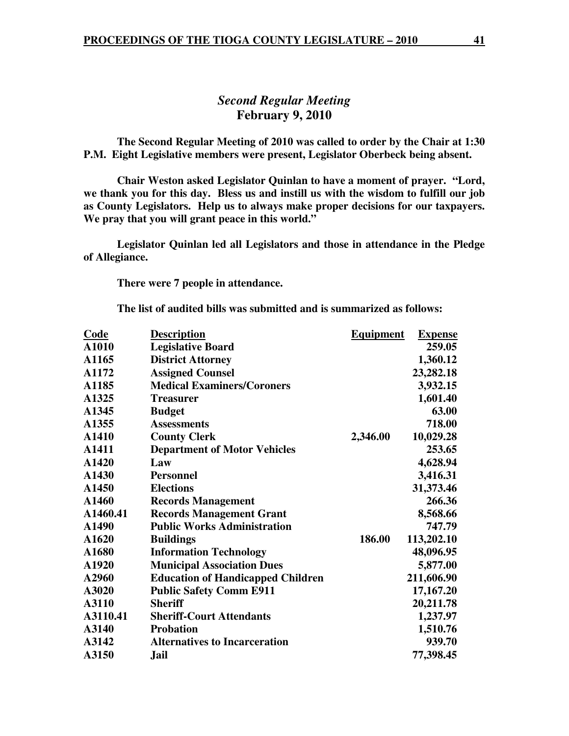# *Second Regular Meeting*  **February 9, 2010**

 **The Second Regular Meeting of 2010 was called to order by the Chair at 1:30 P.M. Eight Legislative members were present, Legislator Oberbeck being absent.** 

**Chair Weston asked Legislator Quinlan to have a moment of prayer. "Lord, we thank you for this day. Bless us and instill us with the wisdom to fulfill our job as County Legislators. Help us to always make proper decisions for our taxpayers. We pray that you will grant peace in this world."** 

 **Legislator Quinlan led all Legislators and those in attendance in the Pledge of Allegiance.** 

 **There were 7 people in attendance.** 

**The list of audited bills was submitted and is summarized as follows:** 

| Code     | <b>Description</b>                       | <b>Equipment</b> | <b>Expense</b> |
|----------|------------------------------------------|------------------|----------------|
| A1010    | <b>Legislative Board</b>                 |                  | 259.05         |
| A1165    | <b>District Attorney</b>                 |                  | 1,360.12       |
| A1172    | <b>Assigned Counsel</b>                  |                  | 23,282.18      |
| A1185    | <b>Medical Examiners/Coroners</b>        |                  | 3,932.15       |
| A1325    | <b>Treasurer</b>                         |                  | 1,601.40       |
| A1345    | <b>Budget</b>                            |                  | 63.00          |
| A1355    | <b>Assessments</b>                       |                  | 718.00         |
| A1410    | <b>County Clerk</b>                      | 2,346.00         | 10,029.28      |
| A1411    | <b>Department of Motor Vehicles</b>      |                  | 253.65         |
| A1420    | Law                                      |                  | 4,628.94       |
| A1430    | <b>Personnel</b>                         |                  | 3,416.31       |
| A1450    | <b>Elections</b>                         |                  | 31,373.46      |
| A1460    | <b>Records Management</b>                |                  | 266.36         |
| A1460.41 | <b>Records Management Grant</b>          |                  | 8,568.66       |
| A1490    | <b>Public Works Administration</b>       |                  | 747.79         |
| A1620    | <b>Buildings</b>                         | 186.00           | 113,202.10     |
| A1680    | <b>Information Technology</b>            |                  | 48,096.95      |
| A1920    | <b>Municipal Association Dues</b>        |                  | 5,877.00       |
| A2960    | <b>Education of Handicapped Children</b> |                  | 211,606.90     |
| A3020    | <b>Public Safety Comm E911</b>           |                  | 17,167.20      |
| A3110    | <b>Sheriff</b>                           |                  | 20,211.78      |
| A3110.41 | <b>Sheriff-Court Attendants</b>          |                  | 1,237.97       |
| A3140    | <b>Probation</b>                         |                  | 1,510.76       |
| A3142    | <b>Alternatives to Incarceration</b>     |                  | 939.70         |
| A3150    | <b>Jail</b>                              |                  | 77,398.45      |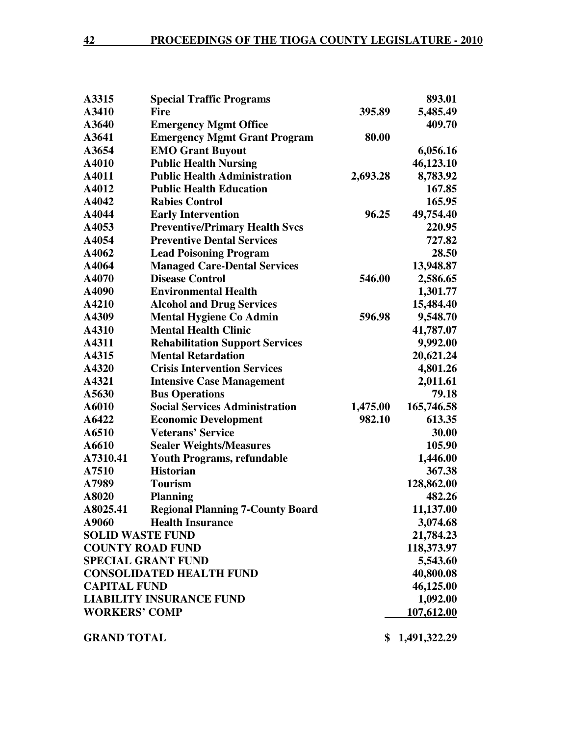| A3315                   | <b>Special Traffic Programs</b>         |          | 893.01         |
|-------------------------|-----------------------------------------|----------|----------------|
| A3410                   | <b>Fire</b>                             | 395.89   | 5,485.49       |
| A3640                   | <b>Emergency Mgmt Office</b>            |          | 409.70         |
| A3641                   | <b>Emergency Mgmt Grant Program</b>     | 80.00    |                |
| A3654                   | <b>EMO Grant Buyout</b>                 |          | 6,056.16       |
| A4010                   | <b>Public Health Nursing</b>            |          | 46,123.10      |
| A4011                   | <b>Public Health Administration</b>     | 2,693.28 | 8,783.92       |
| A4012                   | <b>Public Health Education</b>          |          | 167.85         |
| A4042                   | <b>Rabies Control</b>                   |          | 165.95         |
| A4044                   | <b>Early Intervention</b>               | 96.25    | 49,754.40      |
| A4053                   | <b>Preventive/Primary Health Svcs</b>   |          | 220.95         |
| A4054                   | <b>Preventive Dental Services</b>       |          | 727.82         |
| A4062                   | <b>Lead Poisoning Program</b>           |          | 28.50          |
| A4064                   | <b>Managed Care-Dental Services</b>     |          | 13,948.87      |
| A4070                   | <b>Disease Control</b>                  | 546.00   | 2,586.65       |
| A4090                   | <b>Environmental Health</b>             |          | 1,301.77       |
| A4210                   | <b>Alcohol and Drug Services</b>        |          | 15,484.40      |
| A4309                   | <b>Mental Hygiene Co Admin</b>          | 596.98   | 9,548.70       |
| A4310                   | <b>Mental Health Clinic</b>             |          | 41,787.07      |
| A4311                   | <b>Rehabilitation Support Services</b>  |          | 9,992.00       |
| A4315                   | <b>Mental Retardation</b>               |          | 20,621.24      |
| A4320                   | <b>Crisis Intervention Services</b>     |          | 4,801.26       |
| A4321                   | <b>Intensive Case Management</b>        |          | 2,011.61       |
| A5630                   | <b>Bus Operations</b>                   |          | 79.18          |
| A6010                   | <b>Social Services Administration</b>   | 1,475.00 | 165,746.58     |
| A6422                   | <b>Economic Development</b>             | 982.10   | 613.35         |
| A6510                   | <b>Veterans' Service</b>                |          | 30.00          |
| A6610                   | <b>Sealer Weights/Measures</b>          |          | 105.90         |
| A7310.41                | <b>Youth Programs, refundable</b>       |          | 1,446.00       |
| A7510                   | <b>Historian</b>                        |          | 367.38         |
| A7989                   | <b>Tourism</b>                          |          | 128,862.00     |
| A8020                   | <b>Planning</b>                         |          | 482.26         |
| A8025.41                | <b>Regional Planning 7-County Board</b> |          | 11,137.00      |
| A9060                   | <b>Health Insurance</b>                 |          | 3,074.68       |
| <b>SOLID WASTE FUND</b> |                                         |          | 21,784.23      |
| <b>COUNTY ROAD FUND</b> |                                         |          | 118,373.97     |
|                         | <b>SPECIAL GRANT FUND</b>               |          | 5,543.60       |
|                         | <b>CONSOLIDATED HEALTH FUND</b>         |          | 40,800.08      |
| <b>CAPITAL FUND</b>     |                                         |          | 46,125.00      |
|                         | <b>LIABILITY INSURANCE FUND</b>         |          | 1,092.00       |
| <b>WORKERS' COMP</b>    |                                         |          | 107,612.00     |
| <b>GRAND TOTAL</b>      |                                         |          | \$1,491,322.29 |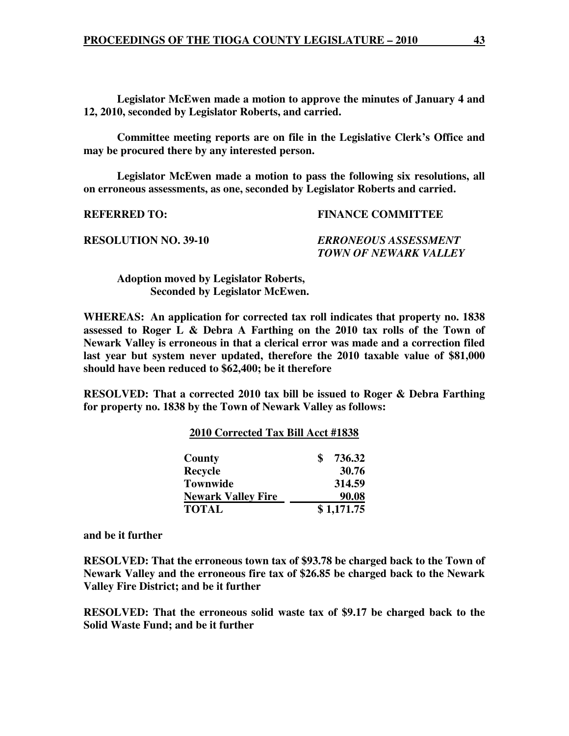**Legislator McEwen made a motion to approve the minutes of January 4 and 12, 2010, seconded by Legislator Roberts, and carried.** 

**Committee meeting reports are on file in the Legislative Clerk's Office and may be procured there by any interested person.** 

 **Legislator McEwen made a motion to pass the following six resolutions, all on erroneous assessments, as one, seconded by Legislator Roberts and carried.** 

**REFERRED TO: FINANCE COMMITTEE** 

**RESOLUTION NO. 39-10** *ERRONEOUS ASSESSMENT* 

 *TOWN OF NEWARK VALLEY* 

 **Adoption moved by Legislator Roberts, Seconded by Legislator McEwen.** 

**WHEREAS: An application for corrected tax roll indicates that property no. 1838 assessed to Roger L & Debra A Farthing on the 2010 tax rolls of the Town of Newark Valley is erroneous in that a clerical error was made and a correction filed last year but system never updated, therefore the 2010 taxable value of \$81,000 should have been reduced to \$62,400; be it therefore** 

**RESOLVED: That a corrected 2010 tax bill be issued to Roger & Debra Farthing for property no. 1838 by the Town of Newark Valley as follows:** 

|                           | 2010 Corrected Tax Bill Acct #1838 |            |  |
|---------------------------|------------------------------------|------------|--|
| County                    |                                    | 736.32     |  |
| Recycle                   |                                    | 30.76      |  |
| <b>Townwide</b>           |                                    | 314.59     |  |
| <b>Newark Valley Fire</b> |                                    | 90.08      |  |
| <b>TOTAL</b>              |                                    | \$1,171.75 |  |

**and be it further** 

**RESOLVED: That the erroneous town tax of \$93.78 be charged back to the Town of Newark Valley and the erroneous fire tax of \$26.85 be charged back to the Newark Valley Fire District; and be it further** 

**RESOLVED: That the erroneous solid waste tax of \$9.17 be charged back to the Solid Waste Fund; and be it further**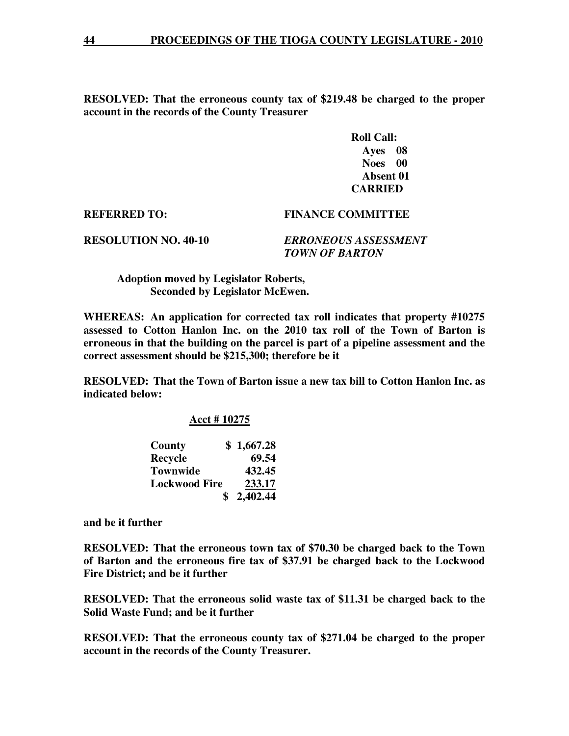**RESOLVED: That the erroneous county tax of \$219.48 be charged to the proper account in the records of the County Treasurer** 

> **Roll Call: Ayes 08 Noes 00 Absent 01 CARRIED**

**REFERRED TO: FINANCE COMMITTEE** 

**RESOLUTION NO. 40-10** *ERRONEOUS ASSESSMENT TOWN OF BARTON* 

 **Adoption moved by Legislator Roberts, Seconded by Legislator McEwen.** 

**WHEREAS: An application for corrected tax roll indicates that property #10275 assessed to Cotton Hanlon Inc. on the 2010 tax roll of the Town of Barton is erroneous in that the building on the parcel is part of a pipeline assessment and the correct assessment should be \$215,300; therefore be it** 

**RESOLVED: That the Town of Barton issue a new tax bill to Cotton Hanlon Inc. as indicated below:** 

 **Acct # 10275** 

| County               | \$1,667.28 |
|----------------------|------------|
| Recycle              | 69.54      |
| <b>Townwide</b>      | 432.45     |
| <b>Lockwood Fire</b> | 233.17     |
|                      | \$2,402.44 |

**and be it further** 

**RESOLVED: That the erroneous town tax of \$70.30 be charged back to the Town of Barton and the erroneous fire tax of \$37.91 be charged back to the Lockwood Fire District; and be it further** 

**RESOLVED: That the erroneous solid waste tax of \$11.31 be charged back to the Solid Waste Fund; and be it further** 

**RESOLVED: That the erroneous county tax of \$271.04 be charged to the proper account in the records of the County Treasurer.**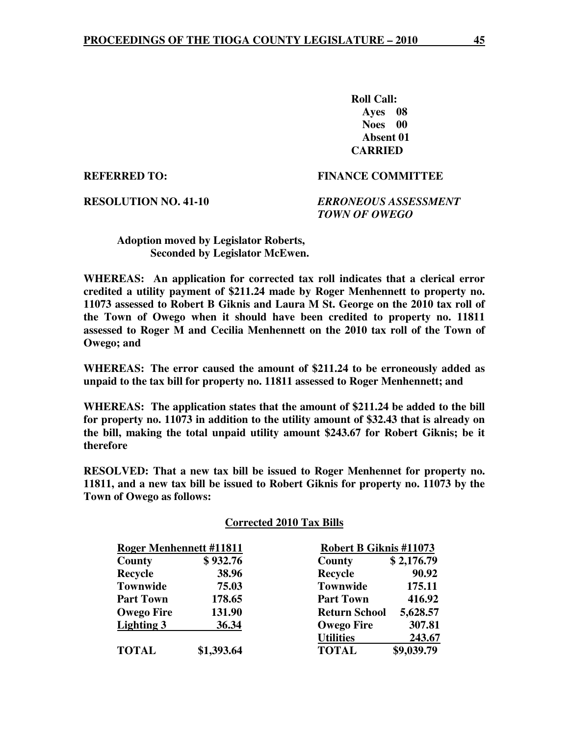**Roll Call: Ayes 08 Noes 00 Absent 01 CARRIED** 

#### **REFERRED TO: FINANCE COMMITTEE**

**RESOLUTION NO. 41-10** *ERRONEOUS ASSESSMENT TOWN OF OWEGO* 

#### **Adoption moved by Legislator Roberts, Seconded by Legislator McEwen.**

**WHEREAS: An application for corrected tax roll indicates that a clerical error credited a utility payment of \$211.24 made by Roger Menhennett to property no. 11073 assessed to Robert B Giknis and Laura M St. George on the 2010 tax roll of the Town of Owego when it should have been credited to property no. 11811 assessed to Roger M and Cecilia Menhennett on the 2010 tax roll of the Town of Owego; and** 

**WHEREAS: The error caused the amount of \$211.24 to be erroneously added as unpaid to the tax bill for property no. 11811 assessed to Roger Menhennett; and** 

**WHEREAS: The application states that the amount of \$211.24 be added to the bill for property no. 11073 in addition to the utility amount of \$32.43 that is already on the bill, making the total unpaid utility amount \$243.67 for Robert Giknis; be it therefore** 

**RESOLVED: That a new tax bill be issued to Roger Menhennet for property no. 11811, and a new tax bill be issued to Robert Giknis for property no. 11073 by the Town of Owego as follows:** 

#### **Corrected 2010 Tax Bills**

| <b>Roger Menhennett #11811</b> |            | <b>Robert B Giknis #11073</b> |            |
|--------------------------------|------------|-------------------------------|------------|
| County                         | \$932.76   | County                        | \$2,176.79 |
| <b>Recycle</b>                 | 38.96      | Recycle                       | 90.92      |
| <b>Townwide</b>                | 75.03      | <b>Townwide</b>               | 175.11     |
| <b>Part Town</b>               | 178.65     | <b>Part Town</b>              | 416.92     |
| <b>Owego Fire</b>              | 131.90     | <b>Return School</b>          | 5,628.57   |
| <b>Lighting 3</b>              | 36.34      | <b>Owego Fire</b>             | 307.81     |
|                                |            | <b>Utilities</b>              | 243.67     |
| <b>TOTAL</b>                   | \$1,393.64 | <b>TOTAL</b>                  | \$9,039.79 |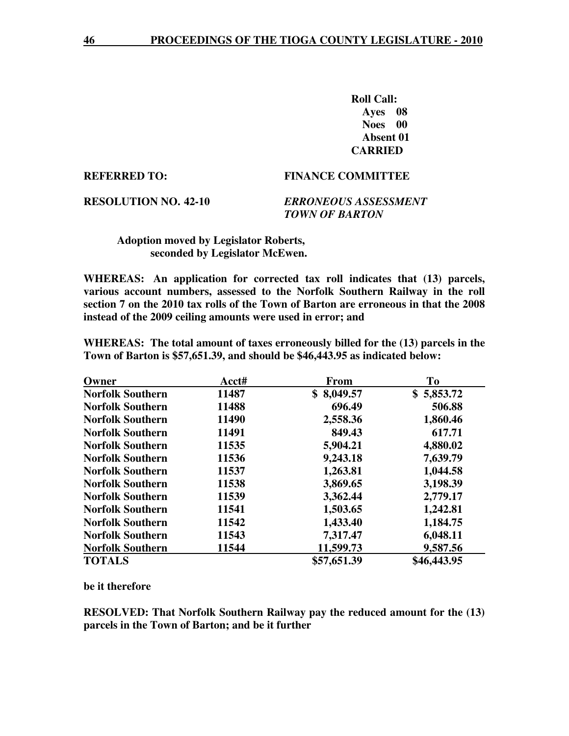**Roll Call: Ayes 08 Noes 00 Absent 01 CARRIED** 

#### **REFERRED TO: FINANCE COMMITTEE**

**RESOLUTION NO. 42-10** *ERRONEOUS ASSESSMENT TOWN OF BARTON* 

#### **Adoption moved by Legislator Roberts, seconded by Legislator McEwen.**

**WHEREAS: An application for corrected tax roll indicates that (13) parcels, various account numbers, assessed to the Norfolk Southern Railway in the roll section 7 on the 2010 tax rolls of the Town of Barton are erroneous in that the 2008 instead of the 2009 ceiling amounts were used in error; and** 

**WHEREAS: The total amount of taxes erroneously billed for the (13) parcels in the Town of Barton is \$57,651.39, and should be \$46,443.95 as indicated below:** 

| Owner                   | Acct# | <b>From</b> | To          |
|-------------------------|-------|-------------|-------------|
| <b>Norfolk Southern</b> | 11487 | \$8,049.57  | \$5,853.72  |
| <b>Norfolk Southern</b> | 11488 | 696.49      | 506.88      |
| <b>Norfolk Southern</b> | 11490 | 2,558.36    | 1,860.46    |
| <b>Norfolk Southern</b> | 11491 | 849.43      | 617.71      |
| <b>Norfolk Southern</b> | 11535 | 5,904.21    | 4,880.02    |
| <b>Norfolk Southern</b> | 11536 | 9,243.18    | 7,639.79    |
| <b>Norfolk Southern</b> | 11537 | 1,263.81    | 1,044.58    |
| <b>Norfolk Southern</b> | 11538 | 3,869.65    | 3,198.39    |
| <b>Norfolk Southern</b> | 11539 | 3,362.44    | 2,779.17    |
| <b>Norfolk Southern</b> | 11541 | 1,503.65    | 1,242.81    |
| <b>Norfolk Southern</b> | 11542 | 1,433.40    | 1,184.75    |
| <b>Norfolk Southern</b> | 11543 | 7,317.47    | 6,048.11    |
| <b>Norfolk Southern</b> | 11544 | 11,599.73   | 9,587.56    |
| <b>TOTALS</b>           |       | \$57,651.39 | \$46,443.95 |

#### **be it therefore**

**RESOLVED: That Norfolk Southern Railway pay the reduced amount for the (13) parcels in the Town of Barton; and be it further**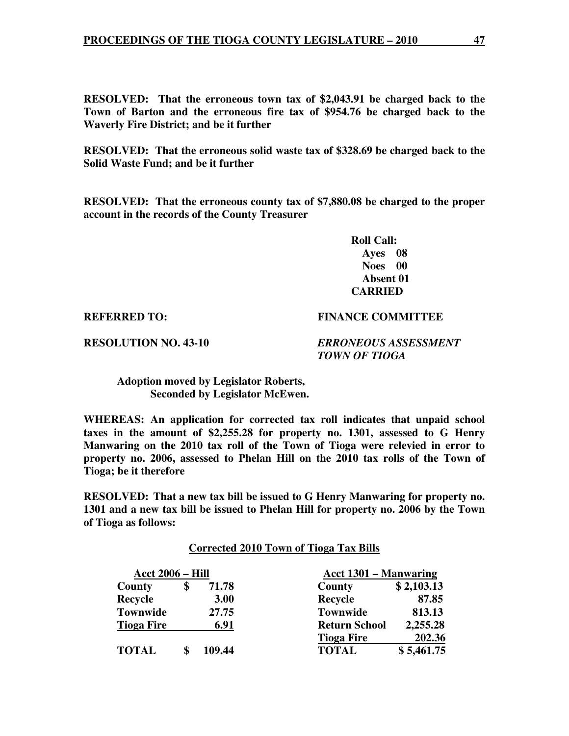**RESOLVED: That the erroneous town tax of \$2,043.91 be charged back to the Town of Barton and the erroneous fire tax of \$954.76 be charged back to the Waverly Fire District; and be it further** 

**RESOLVED: That the erroneous solid waste tax of \$328.69 be charged back to the Solid Waste Fund; and be it further** 

**RESOLVED: That the erroneous county tax of \$7,880.08 be charged to the proper account in the records of the County Treasurer** 

> **Roll Call: Ayes 08 Noes 00 Absent 01 CARRIED**

#### **REFERRED TO: FINANCE COMMITTEE**

**RESOLUTION NO. 43-10** *ERRONEOUS ASSESSMENT TOWN OF TIOGA* 

 **Adoption moved by Legislator Roberts, Seconded by Legislator McEwen.** 

**WHEREAS: An application for corrected tax roll indicates that unpaid school taxes in the amount of \$2,255.28 for property no. 1301, assessed to G Henry Manwaring on the 2010 tax roll of the Town of Tioga were relevied in error to property no. 2006, assessed to Phelan Hill on the 2010 tax rolls of the Town of Tioga; be it therefore** 

**RESOLVED: That a new tax bill be issued to G Henry Manwaring for property no. 1301 and a new tax bill be issued to Phelan Hill for property no. 2006 by the Town of Tioga as follows:** 

#### **Corrected 2010 Town of Tioga Tax Bills**

| <u>Acct 2006 – Hill</u> |        | Acct 1301 – Manwaring |            |
|-------------------------|--------|-----------------------|------------|
| County                  | 71.78  | County                | \$2,103.13 |
| <b>Recycle</b>          | 3.00   | <b>Recycle</b>        | 87.85      |
| <b>Townwide</b>         | 27.75  | <b>Townwide</b>       | 813.13     |
| <b>Tioga Fire</b>       | 6.91   | <b>Return School</b>  | 2,255.28   |
|                         |        | <b>Tioga Fire</b>     | 202.36     |
| <b>TOTAL</b>            | 109.44 | <b>TOTAL</b>          | \$5,461.75 |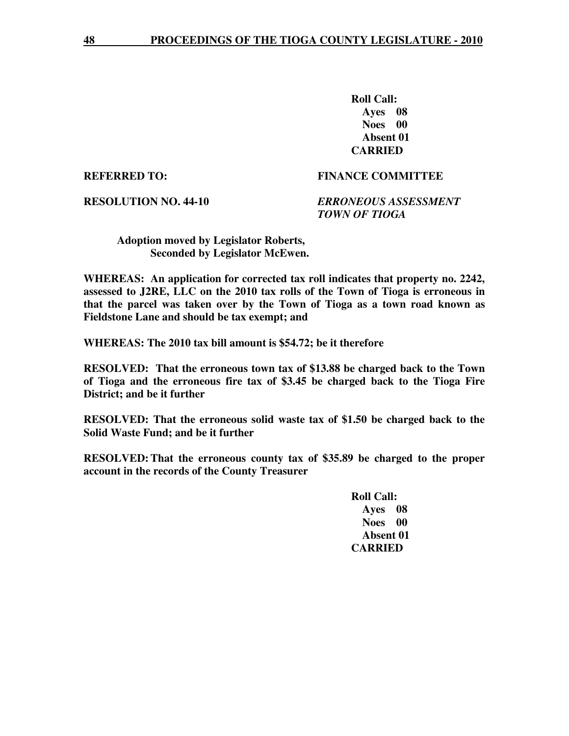**Roll Call: Ayes 08 Noes 00 Absent 01 CARRIED** 

#### **REFERRED TO: FINANCE COMMITTEE**

**RESOLUTION NO. 44-10** *ERRONEOUS ASSESSMENT TOWN OF TIOGA* 

 **Adoption moved by Legislator Roberts, Seconded by Legislator McEwen.** 

**WHEREAS: An application for corrected tax roll indicates that property no. 2242, assessed to J2RE, LLC on the 2010 tax rolls of the Town of Tioga is erroneous in that the parcel was taken over by the Town of Tioga as a town road known as Fieldstone Lane and should be tax exempt; and** 

**WHEREAS: The 2010 tax bill amount is \$54.72; be it therefore** 

**RESOLVED: That the erroneous town tax of \$13.88 be charged back to the Town of Tioga and the erroneous fire tax of \$3.45 be charged back to the Tioga Fire District; and be it further** 

**RESOLVED: That the erroneous solid waste tax of \$1.50 be charged back to the Solid Waste Fund; and be it further** 

**RESOLVED: That the erroneous county tax of \$35.89 be charged to the proper account in the records of the County Treasurer**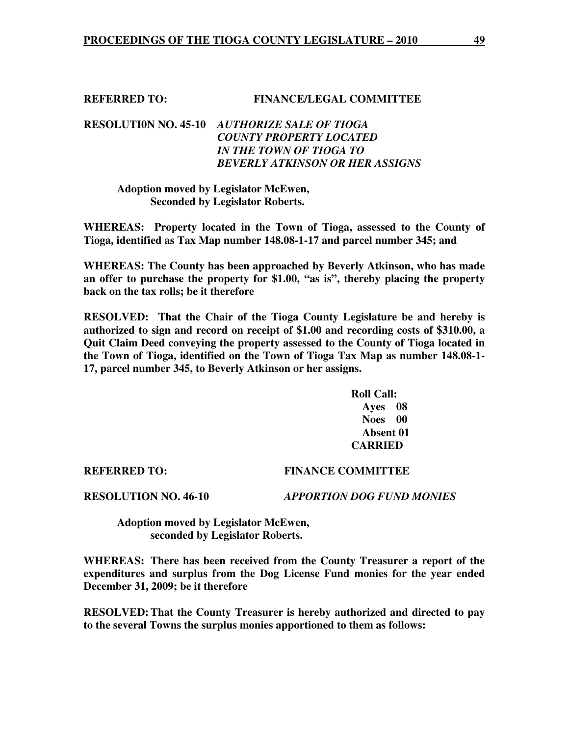### **REFERRED TO: FINANCE/LEGAL COMMITTEE**

# **RESOLUTI0N NO. 45-10** *AUTHORIZE SALE OF TIOGA COUNTY PROPERTY LOCATED IN THE TOWN OF TIOGA TO BEVERLY ATKINSON OR HER ASSIGNS*

#### **Adoption moved by Legislator McEwen, Seconded by Legislator Roberts.**

**WHEREAS: Property located in the Town of Tioga, assessed to the County of Tioga, identified as Tax Map number 148.08-1-17 and parcel number 345; and** 

**WHEREAS: The County has been approached by Beverly Atkinson, who has made an offer to purchase the property for \$1.00, "as is", thereby placing the property back on the tax rolls; be it therefore** 

**RESOLVED: That the Chair of the Tioga County Legislature be and hereby is authorized to sign and record on receipt of \$1.00 and recording costs of \$310.00, a Quit Claim Deed conveying the property assessed to the County of Tioga located in the Town of Tioga, identified on the Town of Tioga Tax Map as number 148.08-1- 17, parcel number 345, to Beverly Atkinson or her assigns.** 

> **Roll Call: Ayes 08 Noes 00 Absent 01 CARRIED**

#### **REFERRED TO: FINANCE COMMITTEE**

**RESOLUTION NO. 46-10** *APPORTION DOG FUND MONIES*

 **Adoption moved by Legislator McEwen, seconded by Legislator Roberts.** 

**WHEREAS: There has been received from the County Treasurer a report of the expenditures and surplus from the Dog License Fund monies for the year ended December 31, 2009; be it therefore** 

**RESOLVED: That the County Treasurer is hereby authorized and directed to pay to the several Towns the surplus monies apportioned to them as follows:**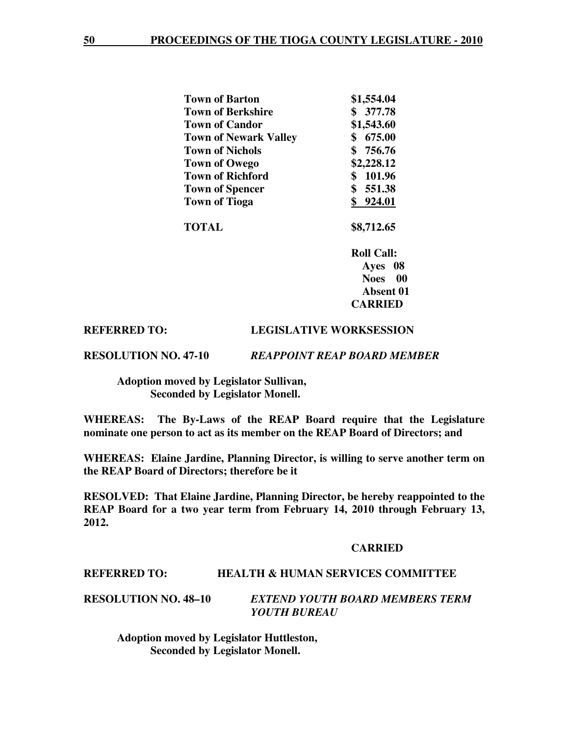| <b>Town of Barton</b>        | \$1,554.04 |
|------------------------------|------------|
| <b>Town of Berkshire</b>     | 377.78     |
| <b>Town of Candor</b>        | \$1,543.60 |
| <b>Town of Newark Valley</b> | 675.00     |
| <b>Town of Nichols</b>       | \$756.76   |
| <b>Town of Owego</b>         | \$2,228.12 |
| <b>Town of Richford</b>      | 101.96     |
| <b>Town of Spencer</b>       | 551.38     |
| <b>Town of Tioga</b>         | 924.01     |
|                              |            |

 **TOTAL \$8,712.65** 

 **Roll Call: Ayes 08 Noes 00 Absent 01 CARRIED** 

#### **REFERRED TO: LEGISLATIVE WORKSESSION**

#### **RESOLUTION NO. 47-10** *REAPPOINT REAP BOARD MEMBER*

 **Adoption moved by Legislator Sullivan, Seconded by Legislator Monell.** 

**WHEREAS: The By-Laws of the REAP Board require that the Legislature nominate one person to act as its member on the REAP Board of Directors; and** 

**WHEREAS: Elaine Jardine, Planning Director, is willing to serve another term on the REAP Board of Directors; therefore be it** 

**RESOLVED: That Elaine Jardine, Planning Director, be hereby reappointed to the REAP Board for a two year term from February 14, 2010 through February 13, 2012.** 

#### **CARRIED**

#### **REFERRED TO: HEALTH & HUMAN SERVICES COMMITTEE**

**RESOLUTION NO. 48–10** *EXTEND YOUTH BOARD MEMBERS TERM YOUTH BUREAU* 

 **Adoption moved by Legislator Huttleston, Seconded by Legislator Monell.**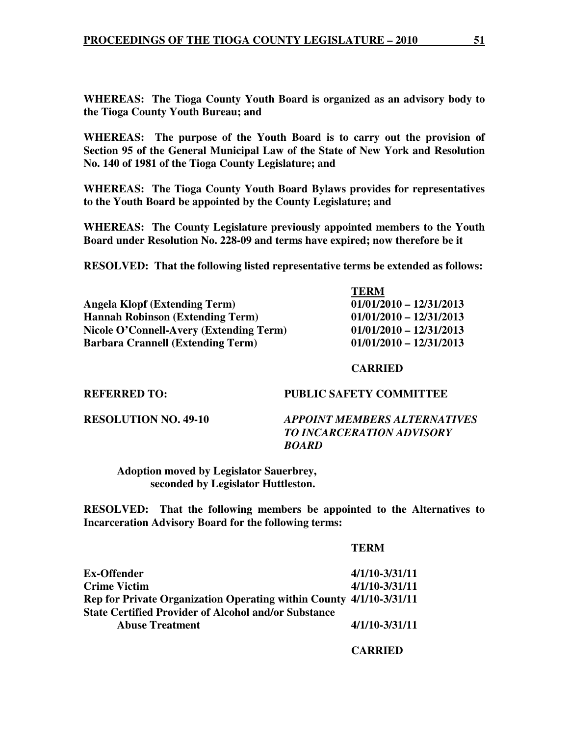**WHEREAS: The Tioga County Youth Board is organized as an advisory body to the Tioga County Youth Bureau; and** 

**WHEREAS: The purpose of the Youth Board is to carry out the provision of Section 95 of the General Municipal Law of the State of New York and Resolution No. 140 of 1981 of the Tioga County Legislature; and** 

**WHEREAS: The Tioga County Youth Board Bylaws provides for representatives to the Youth Board be appointed by the County Legislature; and** 

**WHEREAS: The County Legislature previously appointed members to the Youth Board under Resolution No. 228-09 and terms have expired; now therefore be it** 

**RESOLVED: That the following listed representative terms be extended as follows:** 

|                                          | <b>TERM</b>               |
|------------------------------------------|---------------------------|
| <b>Angela Klopf (Extending Term)</b>     | $01/01/2010 - 12/31/2013$ |
| <b>Hannah Robinson (Extending Term)</b>  | $01/01/2010 - 12/31/2013$ |
| Nicole O'Connell-Avery (Extending Term)  | $01/01/2010 - 12/31/2013$ |
| <b>Barbara Crannell (Extending Term)</b> | $01/01/2010 - 12/31/2013$ |

 **CARRIED** 

**REFERRED TO: PUBLIC SAFETY COMMITTEE** 

**RESOLUTION NO. 49-10** *APPOINT MEMBERS ALTERNATIVES TO INCARCERATION ADVISORY BOARD* 

 **Adoption moved by Legislator Sauerbrey, seconded by Legislator Huttleston.** 

**RESOLVED: That the following members be appointed to the Alternatives to Incarceration Advisory Board for the following terms:** 

| Ex-Offender                                                         | $4/1/10 - 3/31/11$ |
|---------------------------------------------------------------------|--------------------|
| <b>Crime Victim</b>                                                 | $4/1/10 - 3/31/11$ |
| Rep for Private Organization Operating within County 4/1/10-3/31/11 |                    |
| <b>State Certified Provider of Alcohol and/or Substance</b>         |                    |
| <b>Abuse Treatment</b>                                              | $4/1/10 - 3/31/11$ |
|                                                                     |                    |

 **CARRIED**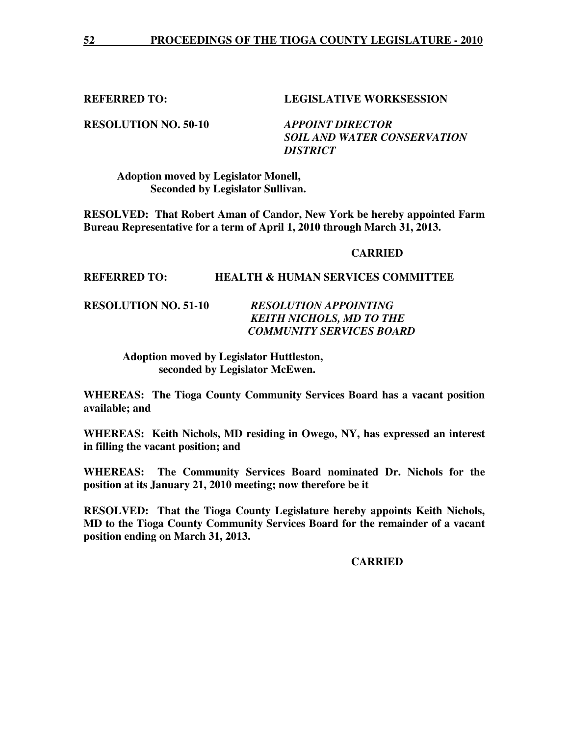**REFERRED TO: LEGISLATIVE WORKSESSION** 

**RESOLUTION NO. 50-10** *APPOINT DIRECTOR* 

 *SOIL AND WATER CONSERVATION DISTRICT* 

 **Adoption moved by Legislator Monell, Seconded by Legislator Sullivan.** 

**RESOLVED: That Robert Aman of Candor, New York be hereby appointed Farm Bureau Representative for a term of April 1, 2010 through March 31, 2013.** 

#### **CARRIED**

#### **REFERRED TO: HEALTH & HUMAN SERVICES COMMITTEE**

**RESOLUTION NO. 51-10** *RESOLUTION APPOINTING KEITH NICHOLS, MD TO THE COMMUNITY SERVICES BOARD* 

> **Adoption moved by Legislator Huttleston, seconded by Legislator McEwen.**

**WHEREAS: The Tioga County Community Services Board has a vacant position available; and** 

**WHEREAS: Keith Nichols, MD residing in Owego, NY, has expressed an interest in filling the vacant position; and** 

**WHEREAS: The Community Services Board nominated Dr. Nichols for the position at its January 21, 2010 meeting; now therefore be it** 

**RESOLVED: That the Tioga County Legislature hereby appoints Keith Nichols, MD to the Tioga County Community Services Board for the remainder of a vacant position ending on March 31, 2013.** 

 **CARRIED**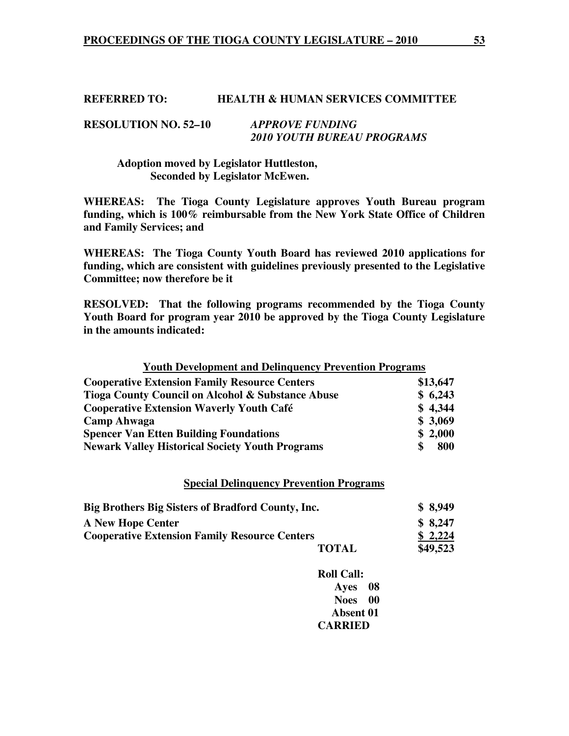#### **REFERRED TO: HEALTH & HUMAN SERVICES COMMITTEE**

#### **RESOLUTION NO. 52–10** *APPROVE FUNDING 2010 YOUTH BUREAU PROGRAMS*

#### **Adoption moved by Legislator Huttleston, Seconded by Legislator McEwen.**

**WHEREAS: The Tioga County Legislature approves Youth Bureau program funding, which is 100% reimbursable from the New York State Office of Children and Family Services; and** 

**WHEREAS: The Tioga County Youth Board has reviewed 2010 applications for funding, which are consistent with guidelines previously presented to the Legislative Committee; now therefore be it** 

**RESOLVED: That the following programs recommended by the Tioga County Youth Board for program year 2010 be approved by the Tioga County Legislature in the amounts indicated:** 

# **Youth Development and Delinquency Prevention Programs Cooperative Extension Family Resource Centers \$13,647 Tioga County Council on Alcohol & Substance Abuse \$ 6,243 Cooperative Extension Waverly Youth Café \$ 4,344 Camp Ahwaga \$ 3,069 Spencer Van Etten Building Foundations \$ 2,000 \$ 2,000 Newark Valley Historical Society Youth Programs \$ 800**

#### **Special Delinquency Prevention Programs**

| Big Brothers Big Sisters of Bradford County, Inc.    |              | \$8,949  |
|------------------------------------------------------|--------------|----------|
| <b>A New Hope Center</b>                             |              | \$8,247  |
| <b>Cooperative Extension Family Resource Centers</b> |              | \$2,224  |
|                                                      | <b>TOTAL</b> | \$49,523 |

| <b>Roll Call:</b> |  |
|-------------------|--|
| Ayes 08           |  |
| Noes 00           |  |
| <b>Absent 01</b>  |  |
| <b>CARRIED</b>    |  |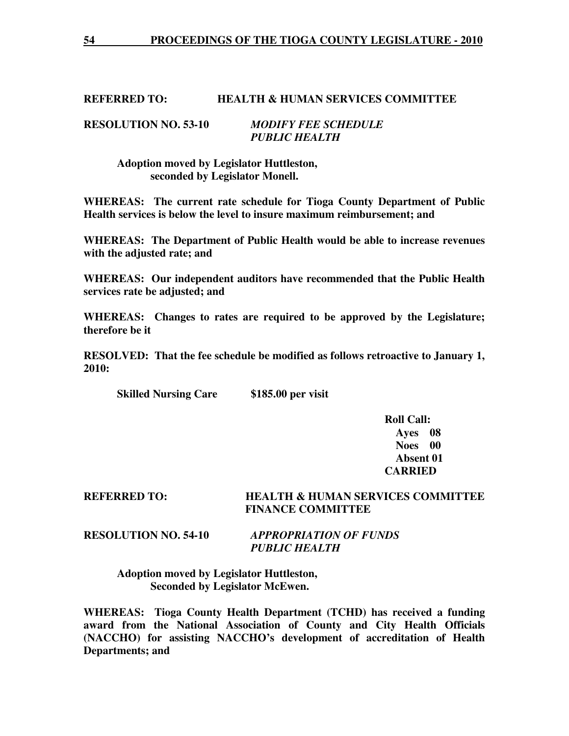#### **REFERRED TO: HEALTH & HUMAN SERVICES COMMITTEE**

#### **RESOLUTION NO. 53-10** *MODIFY FEE SCHEDULE PUBLIC HEALTH*

 **Adoption moved by Legislator Huttleston, seconded by Legislator Monell.** 

**WHEREAS: The current rate schedule for Tioga County Department of Public Health services is below the level to insure maximum reimbursement; and** 

**WHEREAS: The Department of Public Health would be able to increase revenues with the adjusted rate; and** 

**WHEREAS: Our independent auditors have recommended that the Public Health services rate be adjusted; and** 

**WHEREAS: Changes to rates are required to be approved by the Legislature; therefore be it** 

**RESOLVED: That the fee schedule be modified as follows retroactive to January 1, 2010:** 

 **Skilled Nursing Care \$185.00 per visit** 

 **Roll Call: Ayes 08 Noes 00 Absent 01 CARRIED** 

#### **REFERRED TO: HEALTH & HUMAN SERVICES COMMITTEE FINANCE COMMITTEE**

### **RESOLUTION NO. 54-10** *APPROPRIATION OF FUNDS PUBLIC HEALTH*

 **Adoption moved by Legislator Huttleston, Seconded by Legislator McEwen.** 

**WHEREAS: Tioga County Health Department (TCHD) has received a funding award from the National Association of County and City Health Officials (NACCHO) for assisting NACCHO's development of accreditation of Health Departments; and**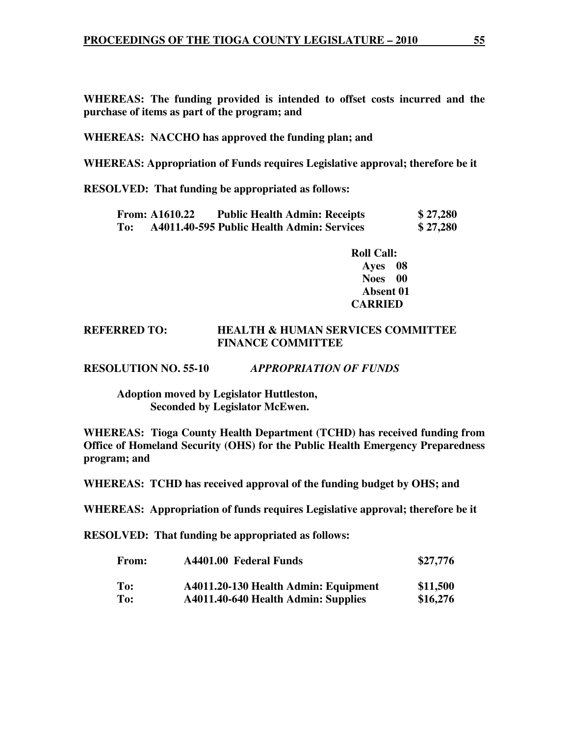**WHEREAS: The funding provided is intended to offset costs incurred and the purchase of items as part of the program; and** 

**WHEREAS: NACCHO has approved the funding plan; and** 

**WHEREAS: Appropriation of Funds requires Legislative approval; therefore be it** 

**RESOLVED: That funding be appropriated as follows:**

|     | <b>From: A1610.22</b> | <b>Public Health Admin: Receipts</b>       | \$27,280 |
|-----|-----------------------|--------------------------------------------|----------|
| To: |                       | A4011.40-595 Public Health Admin: Services | \$27,280 |

 **Roll Call: Ayes 08 Noes 00 Absent 01 CARRIED** 

#### **REFERRED TO: HEALTH & HUMAN SERVICES COMMITTEE FINANCE COMMITTEE**

**RESOLUTION NO. 55-10** *APPROPRIATION OF FUNDS*

 **Adoption moved by Legislator Huttleston, Seconded by Legislator McEwen.** 

**WHEREAS: Tioga County Health Department (TCHD) has received funding from Office of Homeland Security (OHS) for the Public Health Emergency Preparedness program; and** 

**WHEREAS: TCHD has received approval of the funding budget by OHS; and** 

**WHEREAS: Appropriation of funds requires Legislative approval; therefore be it** 

**RESOLVED: That funding be appropriated as follows:**

| <b>From:</b> | A4401.00 Federal Funds               | \$27,776 |  |
|--------------|--------------------------------------|----------|--|
| To:          | A4011.20-130 Health Admin: Equipment | \$11,500 |  |
| To:          | A4011.40-640 Health Admin: Supplies  | \$16,276 |  |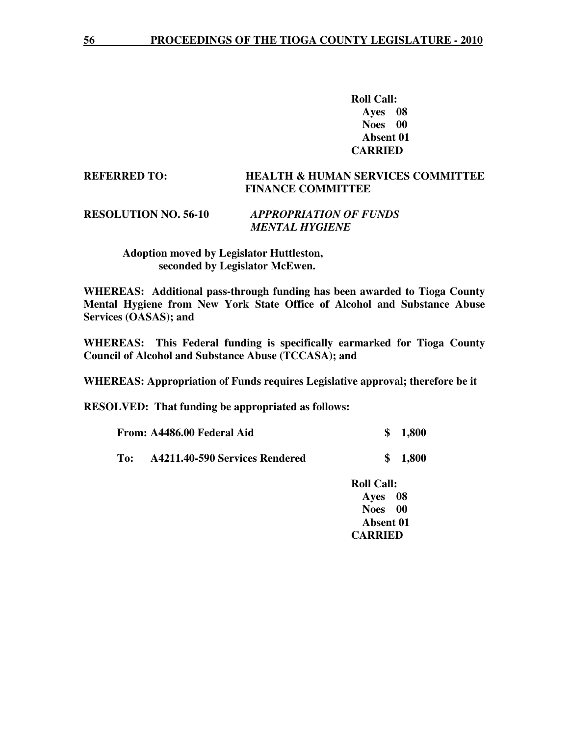**Roll Call: Ayes 08 Noes 00 Absent 01 CARRIED** 

#### **REFERRED TO: HEALTH & HUMAN SERVICES COMMITTEE FINANCE COMMITTEE**

#### **RESOLUTION NO. 56-10** *APPROPRIATION OF FUNDS MENTAL HYGIENE*

#### **Adoption moved by Legislator Huttleston, seconded by Legislator McEwen.**

**WHEREAS: Additional pass-through funding has been awarded to Tioga County Mental Hygiene from New York State Office of Alcohol and Substance Abuse Services (OASAS); and** 

**WHEREAS: This Federal funding is specifically earmarked for Tioga County Council of Alcohol and Substance Abuse (TCCASA); and** 

**WHEREAS: Appropriation of Funds requires Legislative approval; therefore be it** 

**RESOLVED: That funding be appropriated as follows:**

| From: A4486.00 Federal Aid |                                | \$1,800 |
|----------------------------|--------------------------------|---------|
| To:                        | A4211.40-590 Services Rendered | \$1,800 |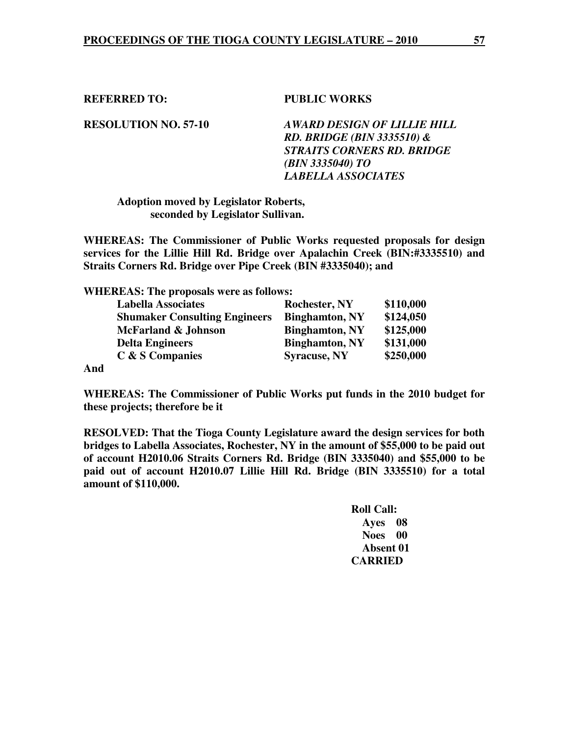**REFERRED TO: PUBLIC WORKS** 

**RESOLUTION NO. 57-10** *AWARD DESIGN OF LILLIE HILL RD. BRIDGE (BIN 3335510) & STRAITS CORNERS RD. BRIDGE (BIN 3335040) TO LABELLA ASSOCIATES* 

 **Adoption moved by Legislator Roberts, seconded by Legislator Sullivan.** 

**WHEREAS: The Commissioner of Public Works requested proposals for design services for the Lillie Hill Rd. Bridge over Apalachin Creek (BIN:#3335510) and Straits Corners Rd. Bridge over Pipe Creek (BIN #3335040); and** 

**WHEREAS: The proposals were as follows:** 

| <b>Labella Associates</b>            | <b>Rochester, NY</b>  | \$110,000 |
|--------------------------------------|-----------------------|-----------|
| <b>Shumaker Consulting Engineers</b> | <b>Binghamton, NY</b> | \$124,050 |
| McFarland & Johnson                  | <b>Binghamton, NY</b> | \$125,000 |
| <b>Delta Engineers</b>               | <b>Binghamton, NY</b> | \$131,000 |
| C & S Companies                      | <b>Syracuse, NY</b>   | \$250,000 |
|                                      |                       |           |

**And** 

**WHEREAS: The Commissioner of Public Works put funds in the 2010 budget for these projects; therefore be it** 

**RESOLVED: That the Tioga County Legislature award the design services for both bridges to Labella Associates, Rochester, NY in the amount of \$55,000 to be paid out of account H2010.06 Straits Corners Rd. Bridge (BIN 3335040) and \$55,000 to be paid out of account H2010.07 Lillie Hill Rd. Bridge (BIN 3335510) for a total amount of \$110,000.**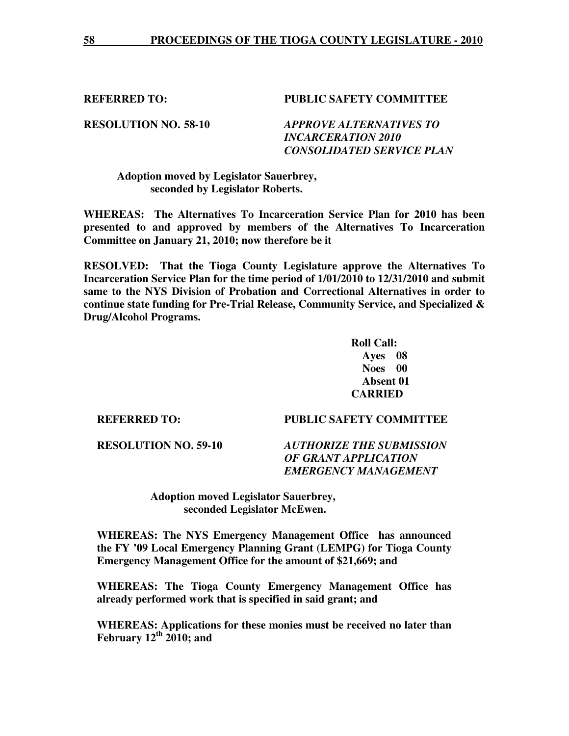#### **REFERRED TO: PUBLIC SAFETY COMMITTEE**

**RESOLUTION NO. 58-10** *APPROVE ALTERNATIVES TO INCARCERATION 2010 CONSOLIDATED SERVICE PLAN* 

#### **Adoption moved by Legislator Sauerbrey, seconded by Legislator Roberts.**

**WHEREAS: The Alternatives To Incarceration Service Plan for 2010 has been presented to and approved by members of the Alternatives To Incarceration Committee on January 21, 2010; now therefore be it** 

**RESOLVED: That the Tioga County Legislature approve the Alternatives To Incarceration Service Plan for the time period of 1/01/2010 to 12/31/2010 and submit same to the NYS Division of Probation and Correctional Alternatives in order to continue state funding for Pre-Trial Release, Community Service, and Specialized & Drug/Alcohol Programs.** 

> **Roll Call: Ayes 08 Noes 00 Absent 01 CARRIED**

#### **REFERRED TO: PUBLIC SAFETY COMMITTEE**

**RESOLUTION NO. 59-10** *AUTHORIZE THE SUBMISSION OF GRANT APPLICATION EMERGENCY MANAGEMENT* 

> **Adoption moved Legislator Sauerbrey, seconded Legislator McEwen.**

**WHEREAS: The NYS Emergency Management Office has announced the FY '09 Local Emergency Planning Grant (LEMPG) for Tioga County Emergency Management Office for the amount of \$21,669; and** 

**WHEREAS: The Tioga County Emergency Management Office has already performed work that is specified in said grant; and** 

**WHEREAS: Applications for these monies must be received no later than February 12th 2010; and**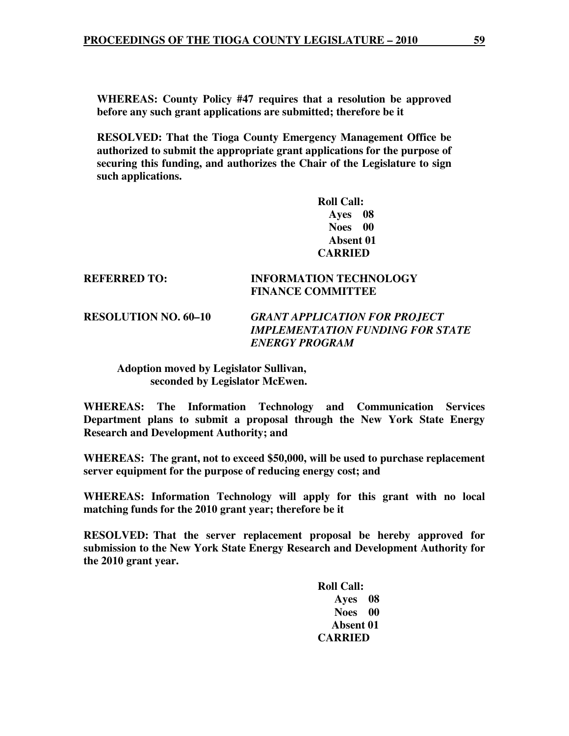**WHEREAS: County Policy #47 requires that a resolution be approved before any such grant applications are submitted; therefore be it** 

**RESOLVED: That the Tioga County Emergency Management Office be authorized to submit the appropriate grant applications for the purpose of securing this funding, and authorizes the Chair of the Legislature to sign such applications.** 

> **Roll Call: Ayes 08 Noes 00 Absent 01 CARRIED**

#### **REFERRED TO: INFORMATION TECHNOLOGY FINANCE COMMITTEE**

**RESOLUTION NO. 60–10** *GRANT APPLICATION FOR PROJECT IMPLEMENTATION FUNDING FOR STATE ENERGY PROGRAM* 

 **Adoption moved by Legislator Sullivan, seconded by Legislator McEwen.** 

**WHEREAS: The Information Technology and Communication Services Department plans to submit a proposal through the New York State Energy Research and Development Authority; and** 

**WHEREAS: The grant, not to exceed \$50,000, will be used to purchase replacement server equipment for the purpose of reducing energy cost; and** 

**WHEREAS: Information Technology will apply for this grant with no local matching funds for the 2010 grant year; therefore be it** 

**RESOLVED: That the server replacement proposal be hereby approved for submission to the New York State Energy Research and Development Authority for the 2010 grant year.**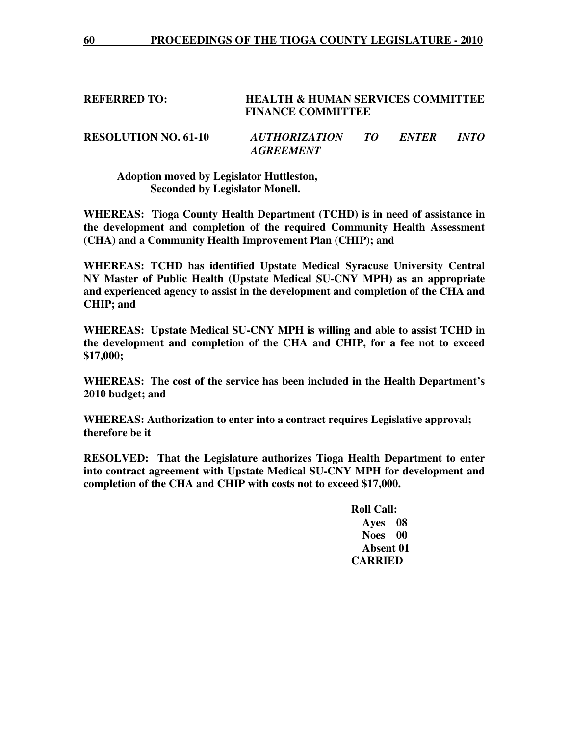#### **REFERRED TO: HEALTH & HUMAN SERVICES COMMITTEE FINANCE COMMITTEE**

**RESOLUTION NO. 61-10** *AUTHORIZATION TO ENTER INTO AGREEMENT* 

 **Adoption moved by Legislator Huttleston, Seconded by Legislator Monell.** 

**WHEREAS: Tioga County Health Department (TCHD) is in need of assistance in the development and completion of the required Community Health Assessment (CHA) and a Community Health Improvement Plan (CHIP); and** 

**WHEREAS: TCHD has identified Upstate Medical Syracuse University Central NY Master of Public Health (Upstate Medical SU-CNY MPH) as an appropriate and experienced agency to assist in the development and completion of the CHA and CHIP; and** 

**WHEREAS: Upstate Medical SU-CNY MPH is willing and able to assist TCHD in the development and completion of the CHA and CHIP, for a fee not to exceed \$17,000;** 

**WHEREAS: The cost of the service has been included in the Health Department's 2010 budget; and** 

**WHEREAS: Authorization to enter into a contract requires Legislative approval; therefore be it** 

**RESOLVED: That the Legislature authorizes Tioga Health Department to enter into contract agreement with Upstate Medical SU-CNY MPH for development and completion of the CHA and CHIP with costs not to exceed \$17,000.**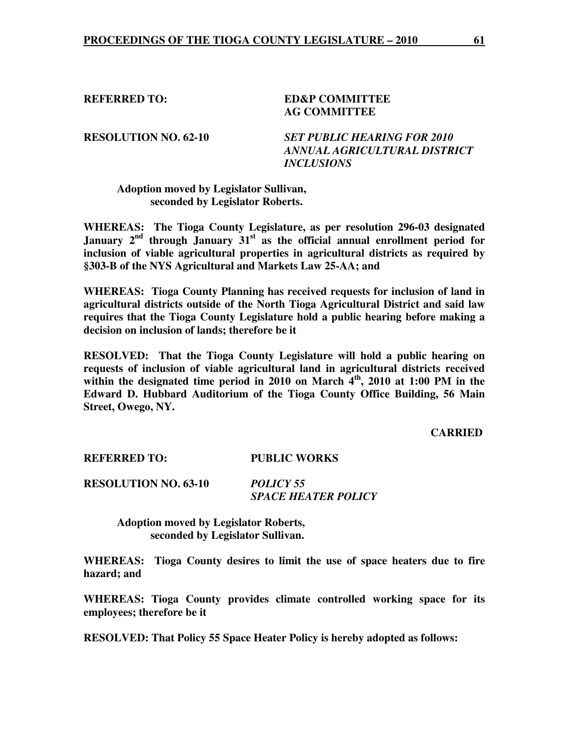#### **REFERRED TO: ED&P COMMITTEE AG COMMITTEE**

**RESOLUTION NO. 62-10** *SET PUBLIC HEARING FOR 2010 ANNUAL AGRICULTURAL DISTRICT INCLUSIONS* 

#### **Adoption moved by Legislator Sullivan, seconded by Legislator Roberts.**

**WHEREAS: The Tioga County Legislature, as per resolution 296-03 designated January 2nd through January 31st as the official annual enrollment period for inclusion of viable agricultural properties in agricultural districts as required by §303-B of the NYS Agricultural and Markets Law 25-AA; and** 

**WHEREAS: Tioga County Planning has received requests for inclusion of land in agricultural districts outside of the North Tioga Agricultural District and said law requires that the Tioga County Legislature hold a public hearing before making a decision on inclusion of lands; therefore be it** 

**RESOLVED: That the Tioga County Legislature will hold a public hearing on requests of inclusion of viable agricultural land in agricultural districts received**  within the designated time period in 2010 on March 4<sup>th</sup>, 2010 at 1:00 PM in the **Edward D. Hubbard Auditorium of the Tioga County Office Building, 56 Main Street, Owego, NY.** 

#### **CARRIED**

**REFERRED TO: PUBLIC WORKS** 

**RESOLUTION NO. 63-10** *POLICY 55 SPACE HEATER POLICY* 

> **Adoption moved by Legislator Roberts, seconded by Legislator Sullivan.**

**WHEREAS: Tioga County desires to limit the use of space heaters due to fire hazard; and** 

**WHEREAS: Tioga County provides climate controlled working space for its employees; therefore be it** 

**RESOLVED: That Policy 55 Space Heater Policy is hereby adopted as follows:**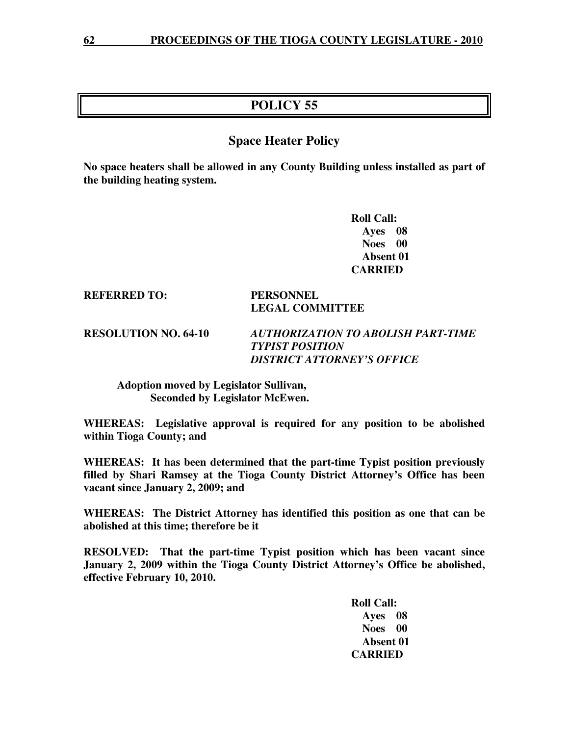# **POLICY 55**

# **Space Heater Policy**

**No space heaters shall be allowed in any County Building unless installed as part of the building heating system.** 

> **Roll Call: Ayes 08 Noes 00 Absent 01 CARRIED**

**REFERRED TO: PERSONNEL** 

# **LEGAL COMMITTEE**

**RESOLUTION NO. 64-10** *AUTHORIZATION TO ABOLISH PART-TIME TYPIST POSITION DISTRICT ATTORNEY'S OFFICE* 

 **Adoption moved by Legislator Sullivan, Seconded by Legislator McEwen.** 

**WHEREAS: Legislative approval is required for any position to be abolished within Tioga County; and** 

**WHEREAS: It has been determined that the part-time Typist position previously filled by Shari Ramsey at the Tioga County District Attorney's Office has been vacant since January 2, 2009; and** 

**WHEREAS: The District Attorney has identified this position as one that can be abolished at this time; therefore be it** 

**RESOLVED: That the part-time Typist position which has been vacant since January 2, 2009 within the Tioga County District Attorney's Office be abolished, effective February 10, 2010.**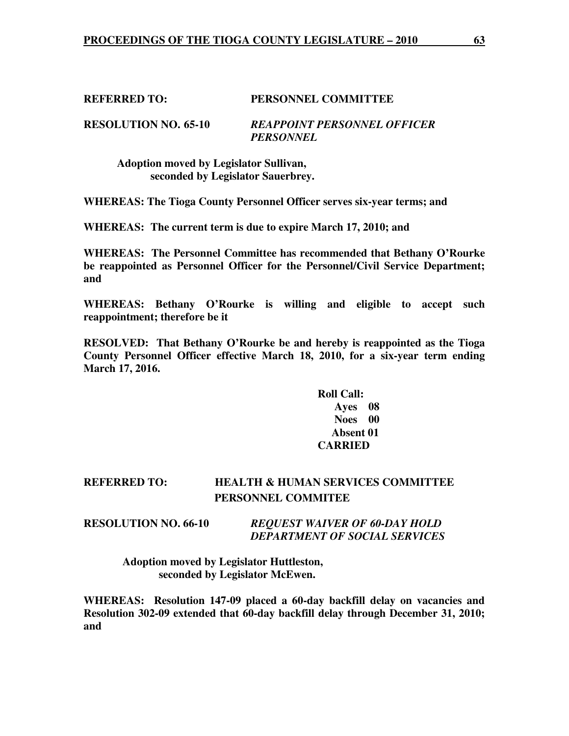# **REFERRED TO: PERSONNEL COMMITTEE**

**RESOLUTION NO. 65-10** *REAPPOINT PERSONNEL OFFICER PERSONNEL* 

 **Adoption moved by Legislator Sullivan, seconded by Legislator Sauerbrey.** 

**WHEREAS: The Tioga County Personnel Officer serves six-year terms; and** 

**WHEREAS: The current term is due to expire March 17, 2010; and** 

**WHEREAS: The Personnel Committee has recommended that Bethany O'Rourke be reappointed as Personnel Officer for the Personnel/Civil Service Department; and** 

**WHEREAS: Bethany O'Rourke is willing and eligible to accept such reappointment; therefore be it** 

**RESOLVED: That Bethany O'Rourke be and hereby is reappointed as the Tioga County Personnel Officer effective March 18, 2010, for a six-year term ending March 17, 2016.** 

# **Roll Call: Ayes 08 Noes 00 Absent 01 CARRIED**

# **REFERRED TO: HEALTH & HUMAN SERVICES COMMITTEE PERSONNEL COMMITEE**

#### **RESOLUTION NO. 66-10** *REQUEST WAIVER OF 60-DAY HOLD DEPARTMENT OF SOCIAL SERVICES*

 **Adoption moved by Legislator Huttleston, seconded by Legislator McEwen.** 

**WHEREAS: Resolution 147-09 placed a 60-day backfill delay on vacancies and Resolution 302-09 extended that 60-day backfill delay through December 31, 2010; and**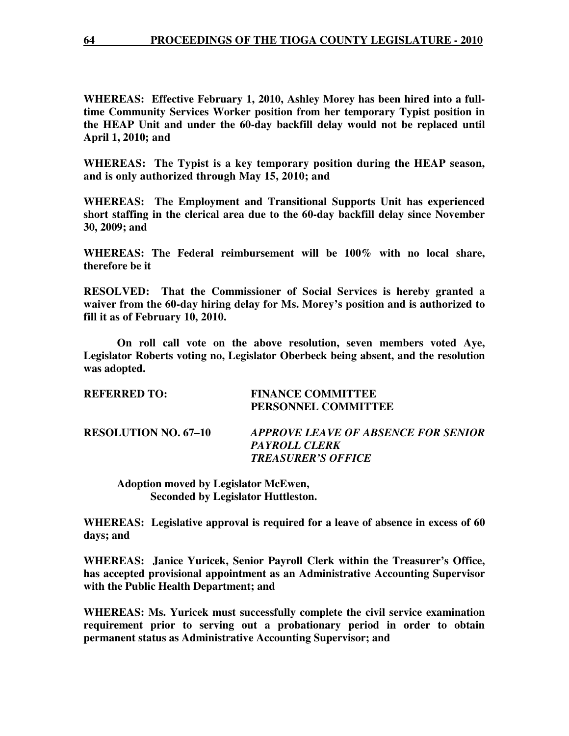**WHEREAS: Effective February 1, 2010, Ashley Morey has been hired into a fulltime Community Services Worker position from her temporary Typist position in the HEAP Unit and under the 60-day backfill delay would not be replaced until April 1, 2010; and** 

**WHEREAS: The Typist is a key temporary position during the HEAP season, and is only authorized through May 15, 2010; and** 

**WHEREAS: The Employment and Transitional Supports Unit has experienced short staffing in the clerical area due to the 60-day backfill delay since November 30, 2009; and** 

**WHEREAS: The Federal reimbursement will be 100% with no local share, therefore be it** 

**RESOLVED: That the Commissioner of Social Services is hereby granted a waiver from the 60-day hiring delay for Ms. Morey's position and is authorized to fill it as of February 10, 2010.** 

 **On roll call vote on the above resolution, seven members voted Aye, Legislator Roberts voting no, Legislator Oberbeck being absent, and the resolution was adopted.** 

| <b>REFERRED TO:</b>         | <b>FINANCE COMMITTEE</b><br>PERSONNEL COMMITTEE      |
|-----------------------------|------------------------------------------------------|
| <b>RESOLUTION NO. 67–10</b> | APPROVE LEAVE OF ABSENCE FOR SENIOR<br>PAYROLL CLERK |
|                             | <b>TREASURER'S OFFICE</b>                            |

 **Adoption moved by Legislator McEwen, Seconded by Legislator Huttleston.** 

**WHEREAS: Legislative approval is required for a leave of absence in excess of 60 days; and** 

**WHEREAS: Janice Yuricek, Senior Payroll Clerk within the Treasurer's Office, has accepted provisional appointment as an Administrative Accounting Supervisor with the Public Health Department; and** 

**WHEREAS: Ms. Yuricek must successfully complete the civil service examination requirement prior to serving out a probationary period in order to obtain permanent status as Administrative Accounting Supervisor; and**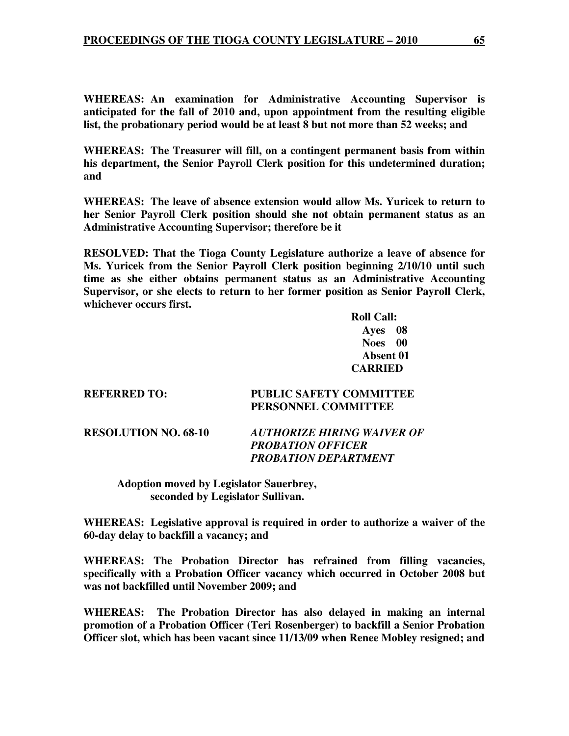**WHEREAS: An examination for Administrative Accounting Supervisor is anticipated for the fall of 2010 and, upon appointment from the resulting eligible list, the probationary period would be at least 8 but not more than 52 weeks; and** 

**WHEREAS: The Treasurer will fill, on a contingent permanent basis from within his department, the Senior Payroll Clerk position for this undetermined duration; and** 

**WHEREAS: The leave of absence extension would allow Ms. Yuricek to return to her Senior Payroll Clerk position should she not obtain permanent status as an Administrative Accounting Supervisor; therefore be it** 

**RESOLVED: That the Tioga County Legislature authorize a leave of absence for Ms. Yuricek from the Senior Payroll Clerk position beginning 2/10/10 until such time as she either obtains permanent status as an Administrative Accounting Supervisor, or she elects to return to her former position as Senior Payroll Clerk, whichever occurs first.** 

> **Roll Call: Ayes 08 Noes 00 Absent 01 CARRIED**

**REFERRED TO: PUBLIC SAFETY COMMITTEE PERSONNEL COMMITTEE** 

**RESOLUTION NO. 68-10** *AUTHORIZE HIRING WAIVER OF PROBATION OFFICER PROBATION DEPARTMENT* 

 **Adoption moved by Legislator Sauerbrey, seconded by Legislator Sullivan.** 

**WHEREAS: Legislative approval is required in order to authorize a waiver of the 60-day delay to backfill a vacancy; and** 

**WHEREAS: The Probation Director has refrained from filling vacancies, specifically with a Probation Officer vacancy which occurred in October 2008 but was not backfilled until November 2009; and** 

**WHEREAS: The Probation Director has also delayed in making an internal promotion of a Probation Officer (Teri Rosenberger) to backfill a Senior Probation Officer slot, which has been vacant since 11/13/09 when Renee Mobley resigned; and**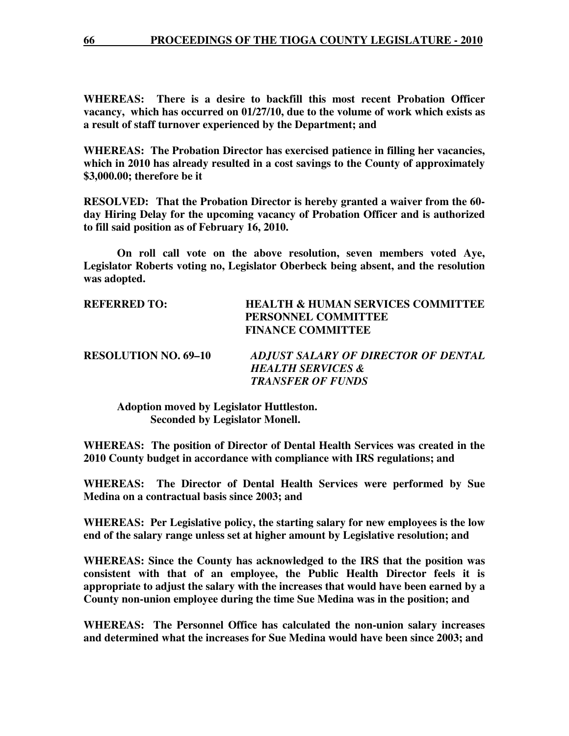**WHEREAS: There is a desire to backfill this most recent Probation Officer vacancy, which has occurred on 01/27/10, due to the volume of work which exists as a result of staff turnover experienced by the Department; and** 

**WHEREAS: The Probation Director has exercised patience in filling her vacancies, which in 2010 has already resulted in a cost savings to the County of approximately \$3,000.00; therefore be it** 

**RESOLVED: That the Probation Director is hereby granted a waiver from the 60 day Hiring Delay for the upcoming vacancy of Probation Officer and is authorized to fill said position as of February 16, 2010.** 

 **On roll call vote on the above resolution, seven members voted Aye, Legislator Roberts voting no, Legislator Oberbeck being absent, and the resolution was adopted.** 

| <b>REFERRED TO:</b>         | <b>HEALTH &amp; HUMAN SERVICES COMMITTEE</b><br>PERSONNEL COMMITTEE<br><b>FINANCE COMMITTEE</b> |
|-----------------------------|-------------------------------------------------------------------------------------------------|
| <b>RESOLUTION NO. 69–10</b> | ADJUST SALARY OF DIRECTOR OF DENTAL                                                             |
|                             | <b>HEALTH SERVICES &amp;</b>                                                                    |
|                             | <b>TRANSFER OF FUNDS</b>                                                                        |

 **Adoption moved by Legislator Huttleston. Seconded by Legislator Monell.** 

**WHEREAS: The position of Director of Dental Health Services was created in the 2010 County budget in accordance with compliance with IRS regulations; and** 

**WHEREAS: The Director of Dental Health Services were performed by Sue Medina on a contractual basis since 2003; and** 

**WHEREAS: Per Legislative policy, the starting salary for new employees is the low end of the salary range unless set at higher amount by Legislative resolution; and** 

**WHEREAS: Since the County has acknowledged to the IRS that the position was consistent with that of an employee, the Public Health Director feels it is appropriate to adjust the salary with the increases that would have been earned by a County non-union employee during the time Sue Medina was in the position; and** 

**WHEREAS: The Personnel Office has calculated the non-union salary increases and determined what the increases for Sue Medina would have been since 2003; and**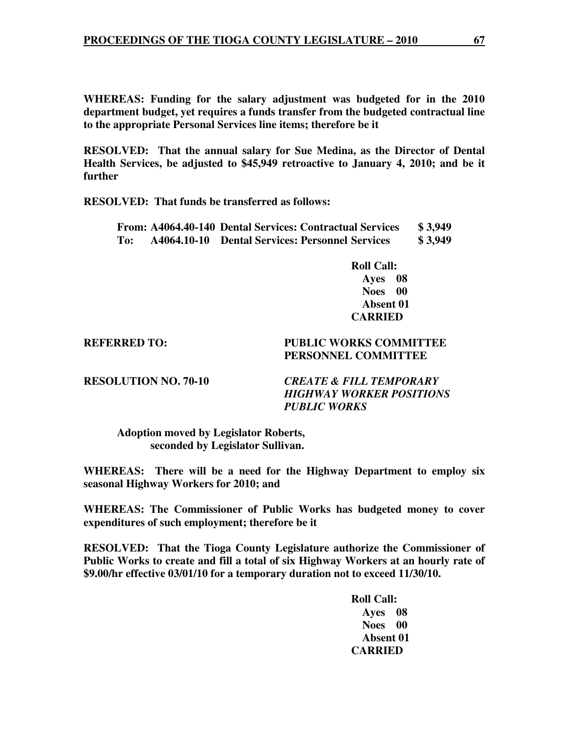**WHEREAS: Funding for the salary adjustment was budgeted for in the 2010 department budget, yet requires a funds transfer from the budgeted contractual line to the appropriate Personal Services line items; therefore be it** 

**RESOLVED: That the annual salary for Sue Medina, as the Director of Dental Health Services, be adjusted to \$45,949 retroactive to January 4, 2010; and be it further** 

**RESOLVED: That funds be transferred as follows:** 

|     |             | From: A4064.40-140 Dental Services: Contractual Services | \$3,949 |
|-----|-------------|----------------------------------------------------------|---------|
| To: | A4064.10-10 | <b>Dental Services: Personnel Services</b>               | \$3,949 |

 **Roll Call: Ayes 08 Noes 00 Absent 01 CARRIED** 

### **REFERRED TO: PUBLIC WORKS COMMITTEE PERSONNEL COMMITTEE**

**RESOLUTION NO. 70-10** *CREATE & FILL TEMPORARY HIGHWAY WORKER POSITIONS PUBLIC WORKS* 

 **Adoption moved by Legislator Roberts, seconded by Legislator Sullivan.** 

**WHEREAS: There will be a need for the Highway Department to employ six seasonal Highway Workers for 2010; and** 

**WHEREAS: The Commissioner of Public Works has budgeted money to cover expenditures of such employment; therefore be it** 

**RESOLVED: That the Tioga County Legislature authorize the Commissioner of Public Works to create and fill a total of six Highway Workers at an hourly rate of \$9.00/hr effective 03/01/10 for a temporary duration not to exceed 11/30/10.**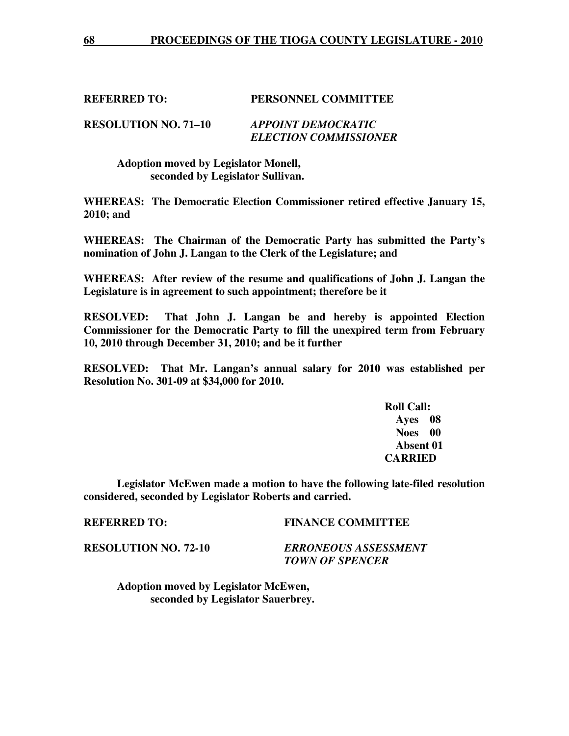#### **REFERRED TO: PERSONNEL COMMITTEE**

**RESOLUTION NO. 71–10** *APPOINT DEMOCRATIC ELECTION COMMISSIONER* 

> **Adoption moved by Legislator Monell, seconded by Legislator Sullivan.**

**WHEREAS: The Democratic Election Commissioner retired effective January 15, 2010; and** 

**WHEREAS: The Chairman of the Democratic Party has submitted the Party's nomination of John J. Langan to the Clerk of the Legislature; and** 

**WHEREAS: After review of the resume and qualifications of John J. Langan the Legislature is in agreement to such appointment; therefore be it** 

**RESOLVED: That John J. Langan be and hereby is appointed Election Commissioner for the Democratic Party to fill the unexpired term from February 10, 2010 through December 31, 2010; and be it further** 

**RESOLVED: That Mr. Langan's annual salary for 2010 was established per Resolution No. 301-09 at \$34,000 for 2010.** 

 **Roll Call: Ayes 08 Noes 00 Absent 01 CARRIED** 

 **Legislator McEwen made a motion to have the following late-filed resolution considered, seconded by Legislator Roberts and carried.** 

#### **REFERRED TO: FINANCE COMMITTEE**

**RESOLUTION NO. 72-10** *ERRONEOUS ASSESSMENT TOWN OF SPENCER* 

 **Adoption moved by Legislator McEwen, seconded by Legislator Sauerbrey.**